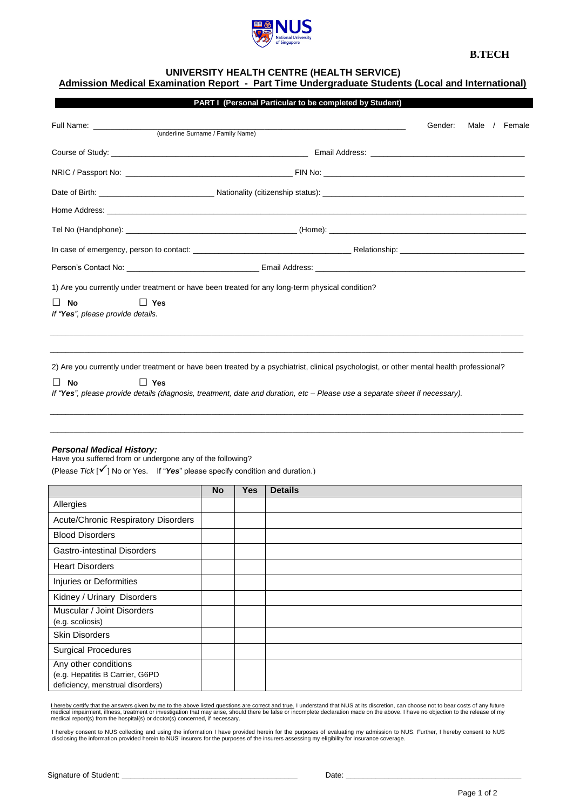

# **B.TECH**

# **UNIVERSITY HEALTH CENTRE (HEALTH SERVICE)**

# **Admission Medical Examination Report - Part Time Undergraduate Students (Local and International)**

|                                                              | Gender:<br>Male / Female                                                                                                                 |
|--------------------------------------------------------------|------------------------------------------------------------------------------------------------------------------------------------------|
|                                                              |                                                                                                                                          |
|                                                              |                                                                                                                                          |
|                                                              |                                                                                                                                          |
|                                                              |                                                                                                                                          |
|                                                              |                                                                                                                                          |
|                                                              |                                                                                                                                          |
|                                                              |                                                                                                                                          |
|                                                              | 1) Are you currently under treatment or have been treated for any long-term physical condition?                                          |
| $\Box$ Yes<br><b>No</b><br>If "Yes", please provide details. |                                                                                                                                          |
|                                                              | 2) Are you currently under treatment or have been treated by a psychiatrist, clinical psychologist, or other mental health professional? |
| <b>No</b><br>$\Box$ Yes                                      | If "Yes", please provide details (diagnosis, treatment, date and duration, etc - Please use a separate sheet if necessary).              |

#### *Personal Medical History:*

 Have you suffered from or undergone any of the following? (Please *Tick* [] No or Yes. If "*Yes*" please specify condition and duration.)

|                                                                                             | <b>No</b> | <b>Yes</b> | <b>Details</b> |
|---------------------------------------------------------------------------------------------|-----------|------------|----------------|
| Allergies                                                                                   |           |            |                |
| <b>Acute/Chronic Respiratory Disorders</b>                                                  |           |            |                |
| <b>Blood Disorders</b>                                                                      |           |            |                |
| <b>Gastro-intestinal Disorders</b>                                                          |           |            |                |
| <b>Heart Disorders</b>                                                                      |           |            |                |
| Injuries or Deformities                                                                     |           |            |                |
| Kidney / Urinary Disorders                                                                  |           |            |                |
| Muscular / Joint Disorders<br>(e.g. scoliosis)                                              |           |            |                |
| <b>Skin Disorders</b>                                                                       |           |            |                |
| <b>Surgical Procedures</b>                                                                  |           |            |                |
| Any other conditions<br>(e.g. Hepatitis B Carrier, G6PD<br>deficiency, menstrual disorders) |           |            |                |

<u>l hereby certify that the answers given by me to the above listed questions are correct and true.</u> I understand that NUS at its discretion, can choose not to bear costs of any future<br>medical impairment, illness, treatment

I hereby consent to NUS collecting and using the information I have provided herein for the purposes of evaluating my admission to NUS. Further, I hereby consent to NUS<br>disclosing the information provided herein to NUS' in